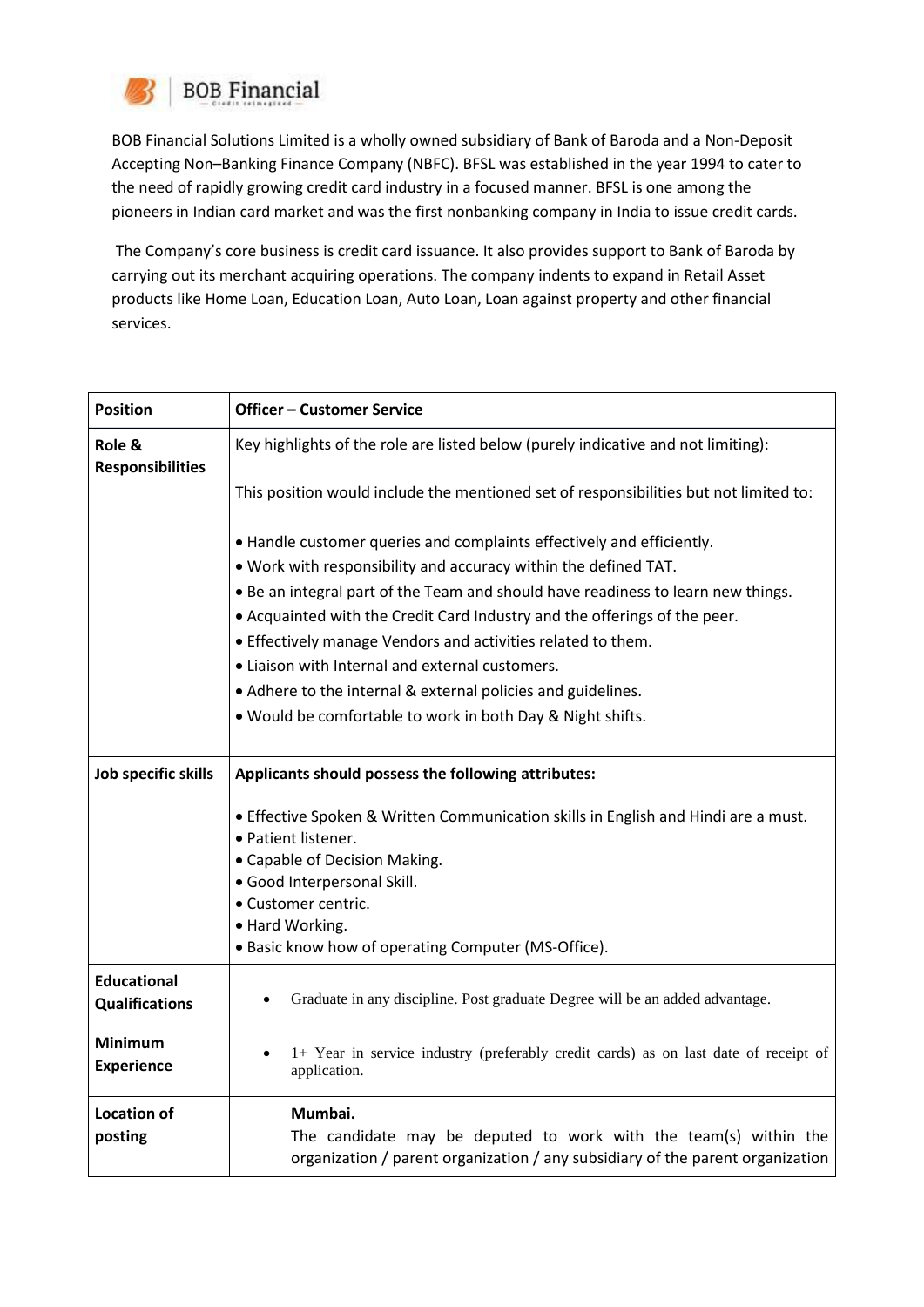

BOB Financial Solutions Limited is a wholly owned subsidiary of Bank of Baroda and a Non-Deposit Accepting Non–Banking Finance Company (NBFC). BFSL was established in the year 1994 to cater to the need of rapidly growing credit card industry in a focused manner. BFSL is one among the pioneers in Indian card market and was the first nonbanking company in India to issue credit cards.

The Company's core business is credit card issuance. It also provides support to Bank of Baroda by carrying out its merchant acquiring operations. The company indents to expand in Retail Asset products like Home Loan, Education Loan, Auto Loan, Loan against property and other financial services.

| <b>Position</b>         | <b>Officer - Customer Service</b>                                                                         |
|-------------------------|-----------------------------------------------------------------------------------------------------------|
| Role &                  | Key highlights of the role are listed below (purely indicative and not limiting):                         |
| <b>Responsibilities</b> |                                                                                                           |
|                         | This position would include the mentioned set of responsibilities but not limited to:                     |
|                         | • Handle customer queries and complaints effectively and efficiently.                                     |
|                         | . Work with responsibility and accuracy within the defined TAT.                                           |
|                         | . Be an integral part of the Team and should have readiness to learn new things.                          |
|                         | . Acquainted with the Credit Card Industry and the offerings of the peer.                                 |
|                         | • Effectively manage Vendors and activities related to them.                                              |
|                         | • Liaison with Internal and external customers.                                                           |
|                         | • Adhere to the internal & external policies and guidelines.                                              |
|                         | . Would be comfortable to work in both Day & Night shifts.                                                |
|                         |                                                                                                           |
| Job specific skills     | Applicants should possess the following attributes:                                                       |
|                         |                                                                                                           |
|                         | . Effective Spoken & Written Communication skills in English and Hindi are a must.<br>· Patient listener. |
|                         | • Capable of Decision Making.                                                                             |
|                         | · Good Interpersonal Skill.                                                                               |
|                         | · Customer centric.                                                                                       |
|                         | • Hard Working.                                                                                           |
|                         | • Basic know how of operating Computer (MS-Office).                                                       |
| <b>Educational</b>      |                                                                                                           |
| <b>Qualifications</b>   | Graduate in any discipline. Post graduate Degree will be an added advantage.                              |
| <b>Minimum</b>          | 1+ Year in service industry (preferably credit cards) as on last date of receipt of                       |
| <b>Experience</b>       | application.                                                                                              |
| <b>Location of</b>      | Mumbai.                                                                                                   |
| posting                 | The candidate may be deputed to work with the team(s) within the                                          |
|                         | organization / parent organization / any subsidiary of the parent organization                            |